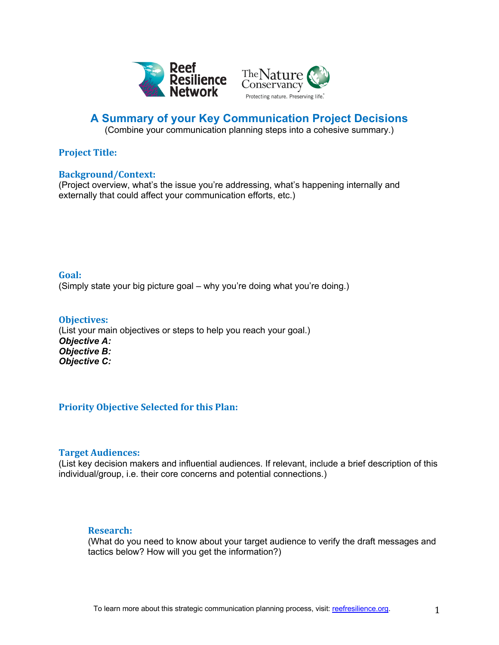



# **A Summary of your Key Communication Project Decisions**

(Combine your communication planning steps into a cohesive summary.)

# **Project Title:**

## **Background/Context:**

(Project overview, what's the issue you're addressing, what's happening internally and externally that could affect your communication efforts, etc.)

# **Goal:**

(Simply state your big picture goal – why you're doing what you're doing.)

### **Objectives:** (List your main objectives or steps to help you reach your goal.) *Objective A: Objective B: Objective C:*

# **Priority Objective Selected for this Plan:**

# **Target Audiences:**

(List key decision makers and influential audiences. If relevant, include a brief description of this individual/group, i.e. their core concerns and potential connections.)

# **Research:**

(What do you need to know about your target audience to verify the draft messages and tactics below? How will you get the information?)